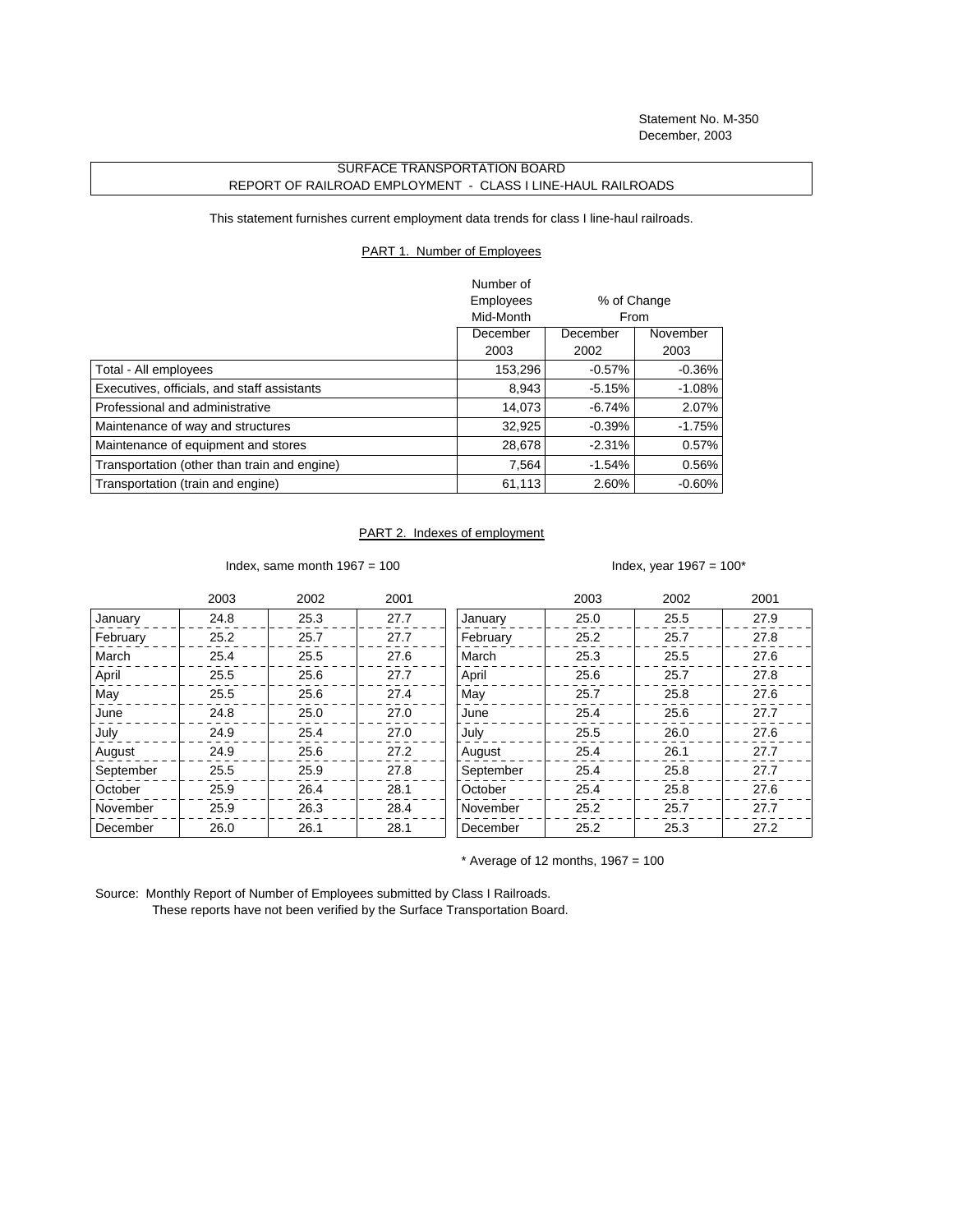Statement No. M-350 December, 2003

## SURFACE TRANSPORTATION BOARD REPORT OF RAILROAD EMPLOYMENT - CLASS I LINE-HAUL RAILROADS

This statement furnishes current employment data trends for class I line-haul railroads.

## PART 1. Number of Employees

|                                              | Number of |             |           |
|----------------------------------------------|-----------|-------------|-----------|
|                                              | Employees | % of Change |           |
|                                              | Mid-Month |             | From      |
|                                              | December  | December    | November  |
|                                              | 2003      | 2002        | 2003      |
| Total - All employees                        | 153,296   | $-0.57\%$   | $-0.36\%$ |
| Executives, officials, and staff assistants  | 8,943     | $-5.15%$    | $-1.08\%$ |
| Professional and administrative              | 14.073    | $-6.74%$    | 2.07%     |
| Maintenance of way and structures            | 32,925    | $-0.39%$    | $-1.75%$  |
| Maintenance of equipment and stores          | 28,678    | $-2.31%$    | $0.57\%$  |
| Transportation (other than train and engine) | 7.564     | $-1.54%$    | 0.56%     |
| Transportation (train and engine)            | 61,113    | 2.60%       | $-0.60\%$ |

## PART 2. Indexes of employment

Index, same month  $1967 = 100$  Index, year  $1967 = 100^*$ 

|           | 2003 | 2002 | 2001 |           | 2003 | 2002 | 2001 |
|-----------|------|------|------|-----------|------|------|------|
| January   | 24.8 | 25.3 | 27.7 | January   | 25.0 | 25.5 | 27.9 |
| February  | 25.2 | 25.7 | 27.7 | February  | 25.2 | 25.7 | 27.8 |
| March     | 25.4 | 25.5 | 27.6 | March     | 25.3 | 25.5 | 27.6 |
| April     | 25.5 | 25.6 | 27.7 | April     | 25.6 | 25.7 | 27.8 |
| May       | 25.5 | 25.6 | 27.4 | May       | 25.7 | 25.8 | 27.6 |
| June      | 24.8 | 25.0 | 27.0 | June      | 25.4 | 25.6 | 27.7 |
| July      | 24.9 | 25.4 | 27.0 | July      | 25.5 | 26.0 | 27.6 |
| August    | 24.9 | 25.6 | 27.2 | August    | 25.4 | 26.1 | 27.7 |
| September | 25.5 | 25.9 | 27.8 | September | 25.4 | 25.8 | 27.7 |
| October   | 25.9 | 26.4 | 28.1 | October   | 25.4 | 25.8 | 27.6 |
| November  | 25.9 | 26.3 | 28.4 | November  | 25.2 | 25.7 | 27.7 |
| December  | 26.0 | 26.1 | 28.1 | December  | 25.2 | 25.3 | 27.2 |

 $*$  Average of 12 months, 1967 = 100

Source: Monthly Report of Number of Employees submitted by Class I Railroads. These reports have not been verified by the Surface Transportation Board.